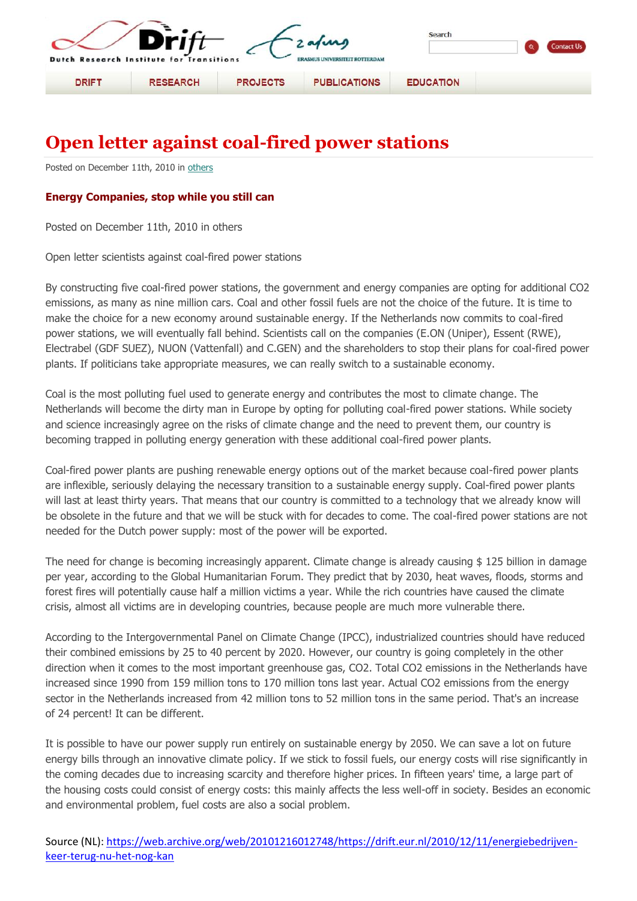

## **Open letter against coal-fired power stations**

Posted on December 11th, 2010 in [others](https://web.archive.org/web/20101216012748/http:/www.drift.eur.nl/category/others/)

## **Energy Companies, stop while you still can**

Posted on December 11th, 2010 in others

Open letter scientists against coal-fired power stations

By constructing five coal-fired power stations, the government and energy companies are opting for additional CO2 emissions, as many as nine million cars. Coal and other fossil fuels are not the choice of the future. It is time to make the choice for a new economy around sustainable energy. If the Netherlands now commits to coal-fired power stations, we will eventually fall behind. Scientists call on the companies (E.ON (Uniper), Essent (RWE), Electrabel (GDF SUEZ), NUON (Vattenfall) and C.GEN) and the shareholders to stop their plans for coal-fired power plants. If politicians take appropriate measures, we can really switch to a sustainable economy.

Coal is the most polluting fuel used to generate energy and contributes the most to climate change. The Netherlands will become the dirty man in Europe by opting for polluting coal-fired power stations. While society and science increasingly agree on the risks of climate change and the need to prevent them, our country is becoming trapped in polluting energy generation with these additional coal-fired power plants.

Coal-fired power plants are pushing renewable energy options out of the market because coal-fired power plants are inflexible, seriously delaying the necessary transition to a sustainable energy supply. Coal-fired power plants will last at least thirty years. That means that our country is committed to a technology that we already know will be obsolete in the future and that we will be stuck with for decades to come. The coal-fired power stations are not needed for the Dutch power supply: most of the power will be exported.

The need for change is becoming increasingly apparent. Climate change is already causing \$ 125 billion in damage per year, according to the Global Humanitarian Forum. They predict that by 2030, heat waves, floods, storms and forest fires will potentially cause half a million victims a year. While the rich countries have caused the climate crisis, almost all victims are in developing countries, because people are much more vulnerable there.

According to the Intergovernmental Panel on Climate Change (IPCC), industrialized countries should have reduced their combined emissions by 25 to 40 percent by 2020. However, our country is going completely in the other direction when it comes to the most important greenhouse gas, CO2. Total CO2 emissions in the Netherlands have increased since 1990 from 159 million tons to 170 million tons last year. Actual CO2 emissions from the energy sector in the Netherlands increased from 42 million tons to 52 million tons in the same period. That's an increase of 24 percent! It can be different.

It is possible to have our power supply run entirely on sustainable energy by 2050. We can save a lot on future energy bills through an innovative climate policy. If we stick to fossil fuels, our energy costs will rise significantly in the coming decades due to increasing scarcity and therefore higher prices. In fifteen years' time, a large part of the housing costs could consist of energy costs: this mainly affects the less well-off in society. Besides an economic and environmental problem, fuel costs are also a social problem.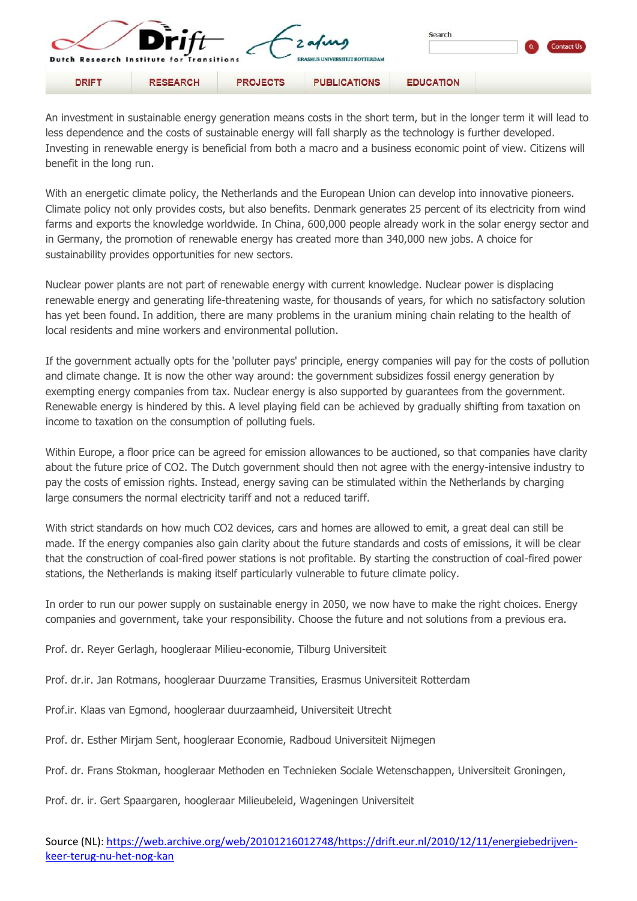|              | $\blacksquare$                                              | Search          |                                                          |                  |  |
|--------------|-------------------------------------------------------------|-----------------|----------------------------------------------------------|------------------|--|
| <b>DRIFT</b> | Dutch Research Institute for Transitions<br><b>RESEARCH</b> | <b>PROJECTS</b> | <b>ERASMUS UN</b><br><b>ERDAM</b><br><b>PUBLICATIONS</b> | <b>EDUCATION</b> |  |

An investment in sustainable energy generation means costs in the short term, but in the longer term it will lead to less dependence and the costs of sustainable energy will fall sharply as the technology is further developed. Investing in renewable energy is beneficial from both a macro and a business economic point of view. Citizens will benefit in the long run.

With an energetic climate policy, the Netherlands and the European Union can develop into innovative pioneers. Climate policy not only provides costs, but also benefits. Denmark generates 25 percent of its electricity from wind farms and exports the knowledge worldwide. In China, 600,000 people already work in the solar energy sector and in Germany, the promotion of renewable energy has created more than 340,000 new jobs. A choice for sustainability provides opportunities for new sectors.

Nuclear power plants are not part of renewable energy with current knowledge. Nuclear power is displacing renewable energy and generating life-threatening waste, for thousands of years, for which no satisfactory solution has yet been found. In addition, there are many problems in the uranium mining chain relating to the health of local residents and mine workers and environmental pollution.

If the government actually opts for the 'polluter pays' principle, energy companies will pay for the costs of pollution and climate change. It is now the other way around: the government subsidizes fossil energy generation by exempting energy companies from tax. Nuclear energy is also supported by guarantees from the government. Renewable energy is hindered by this. A level playing field can be achieved by gradually shifting from taxation on income to taxation on the consumption of polluting fuels.

Within Europe, a floor price can be agreed for emission allowances to be auctioned, so that companies have clarity about the future price of CO2. The Dutch government should then not agree with the energy-intensive industry to pay the costs of emission rights. Instead, energy saving can be stimulated within the Netherlands by charging large consumers the normal electricity tariff and not a reduced tariff.

With strict standards on how much CO2 devices, cars and homes are allowed to emit, a great deal can still be made. If the energy companies also gain clarity about the future standards and costs of emissions, it will be clear that the construction of coal-fired power stations is not profitable. By starting the construction of coal-fired power stations, the Netherlands is making itself particularly vulnerable to future climate policy.

In order to run our power supply on sustainable energy in 2050, we now have to make the right choices. Energy companies and government, take your responsibility. Choose the future and not solutions from a previous era.

Prof. dr. Reyer Gerlagh, hoogleraar Milieu-economie, Tilburg Universiteit

Prof. dr.ir. Jan Rotmans, hoogleraar Duurzame Transities, Erasmus Universiteit Rotterdam

Prof.ir. Klaas van Egmond, hoogleraar duurzaamheid, Universiteit Utrecht

Prof. dr. Esther Mirjam Sent, hoogleraar Economie, Radboud Universiteit Nijmegen

Prof. dr. Frans Stokman, hoogleraar Methoden en Technieken Sociale Wetenschappen, Universiteit Groningen,

Prof. dr. ir. Gert Spaargaren, hoogleraar Milieubeleid, Wageningen Universiteit